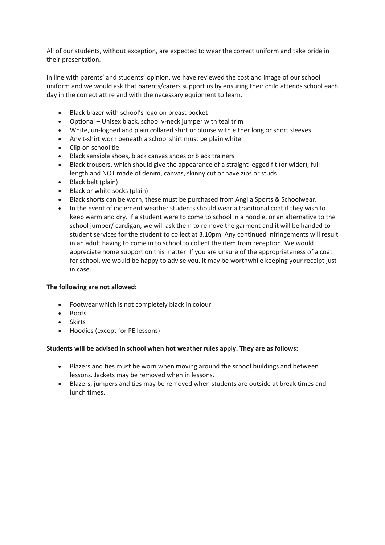All of our students, without exception, are expected to wear the correct uniform and take pride in their presentation.

In line with parents' and students' opinion, we have reviewed the cost and image of our school uniform and we would ask that parents/carers support us by ensuring their child attends school each day in the correct attire and with the necessary equipment to learn.

- Black blazer with school's logo on breast pocket
- Optional Unisex black, school v-neck jumper with teal trim
- White, un-logoed and plain collared shirt or blouse with either long or short sleeves
- Any t-shirt worn beneath a school shirt must be plain white
- Clip on school tie
- Black sensible shoes, black canvas shoes or black trainers
- Black trousers, which should give the appearance of a straight legged fit (or wider), full length and NOT made of denim, canvas, skinny cut or have zips or studs
- Black belt (plain)
- Black or white socks (plain)
- Black shorts can be worn, these must be purchased from Anglia Sports & Schoolwear.
- In the event of inclement weather students should wear a traditional coat if they wish to keep warm and dry. If a student were to come to school in a hoodie, or an alternative to the school jumper/ cardigan, we will ask them to remove the garment and it will be handed to student services for the student to collect at 3.10pm. Any continued infringements will result in an adult having to come in to school to collect the item from reception. We would appreciate home support on this matter. If you are unsure of the appropriateness of a coat for school, we would be happy to advise you. It may be worthwhile keeping your receipt just in case.

# **The following are not allowed:**

- Footwear which is not completely black in colour
- Boots
- Skirts
- Hoodies (except for PE lessons)

# **Students will be advised in school when hot weather rules apply. They are as follows:**

- Blazers and ties must be worn when moving around the school buildings and between lessons. Jackets may be removed when in lessons.
- Blazers, jumpers and ties may be removed when students are outside at break times and lunch times.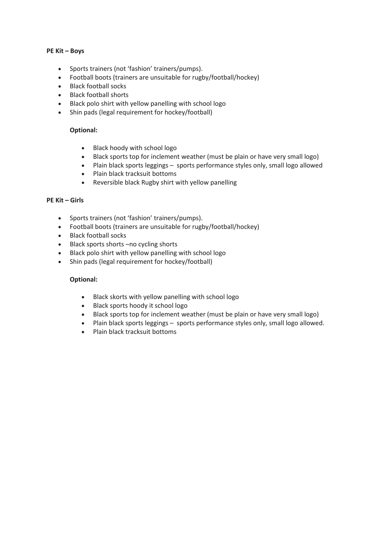## **PE Kit – Boys**

- Sports trainers (not 'fashion' trainers/pumps).
- Football boots (trainers are unsuitable for rugby/football/hockey)
- Black football socks
- Black football shorts
- Black polo shirt with yellow panelling with school logo
- Shin pads (legal requirement for hockey/football)

# **Optional:**

- Black hoody with school logo
- Black sports top for inclement weather (must be plain or have very small logo)
- Plain black sports leggings sports performance styles only, small logo allowed
- Plain black tracksuit bottoms
- Reversible black Rugby shirt with yellow panelling

# **PE Kit – Girls**

- Sports trainers (not 'fashion' trainers/pumps).
- Football boots (trainers are unsuitable for rugby/football/hockey)
- Black football socks
- Black sports shorts –no cycling shorts
- Black polo shirt with yellow panelling with school logo
- Shin pads (legal requirement for hockey/football)

# **Optional:**

- Black skorts with yellow panelling with school logo
- Black sports hoody it school logo
- Black sports top for inclement weather (must be plain or have very small logo)
- Plain black sports leggings sports performance styles only, small logo allowed.
- Plain black tracksuit bottoms